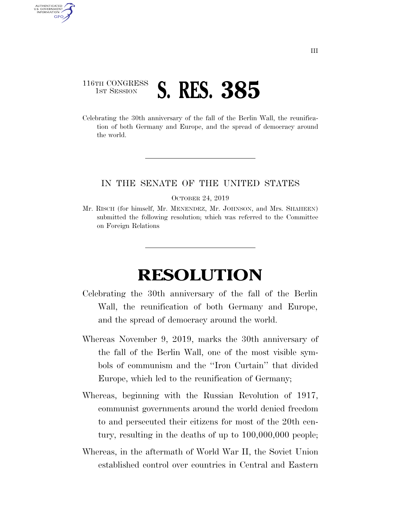## 116TH CONGRESS **1ST SESSION S. RES. 385**

AUTHENTICATED U.S. GOVERNMENT GPO

> Celebrating the 30th anniversary of the fall of the Berlin Wall, the reunification of both Germany and Europe, and the spread of democracy around the world.

## IN THE SENATE OF THE UNITED STATES

OCTOBER 24, 2019

Mr. RISCH (for himself, Mr. MENENDEZ, Mr. JOHNSON, and Mrs. SHAHEEN) submitted the following resolution; which was referred to the Committee on Foreign Relations

## **RESOLUTION**

- Celebrating the 30th anniversary of the fall of the Berlin Wall, the reunification of both Germany and Europe, and the spread of democracy around the world.
- Whereas November 9, 2019, marks the 30th anniversary of the fall of the Berlin Wall, one of the most visible symbols of communism and the ''Iron Curtain'' that divided Europe, which led to the reunification of Germany;
- Whereas, beginning with the Russian Revolution of 1917, communist governments around the world denied freedom to and persecuted their citizens for most of the 20th century, resulting in the deaths of up to 100,000,000 people;
- Whereas, in the aftermath of World War II, the Soviet Union established control over countries in Central and Eastern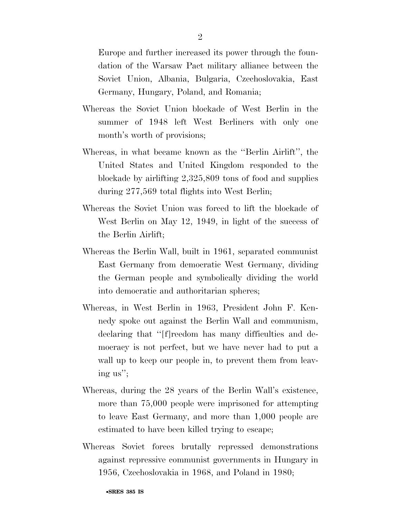Europe and further increased its power through the foundation of the Warsaw Pact military alliance between the Soviet Union, Albania, Bulgaria, Czechoslovakia, East Germany, Hungary, Poland, and Romania;

- Whereas the Soviet Union blockade of West Berlin in the summer of 1948 left West Berliners with only one month's worth of provisions;
- Whereas, in what became known as the ''Berlin Airlift'', the United States and United Kingdom responded to the blockade by airlifting 2,325,809 tons of food and supplies during 277,569 total flights into West Berlin;
- Whereas the Soviet Union was forced to lift the blockade of West Berlin on May 12, 1949, in light of the success of the Berlin Airlift;
- Whereas the Berlin Wall, built in 1961, separated communist East Germany from democratic West Germany, dividing the German people and symbolically dividing the world into democratic and authoritarian spheres;
- Whereas, in West Berlin in 1963, President John F. Kennedy spoke out against the Berlin Wall and communism, declaring that ''[f]reedom has many difficulties and democracy is not perfect, but we have never had to put a wall up to keep our people in, to prevent them from leaving us'';
- Whereas, during the 28 years of the Berlin Wall's existence, more than 75,000 people were imprisoned for attempting to leave East Germany, and more than 1,000 people are estimated to have been killed trying to escape;
- Whereas Soviet forces brutally repressed demonstrations against repressive communist governments in Hungary in 1956, Czechoslovakia in 1968, and Poland in 1980;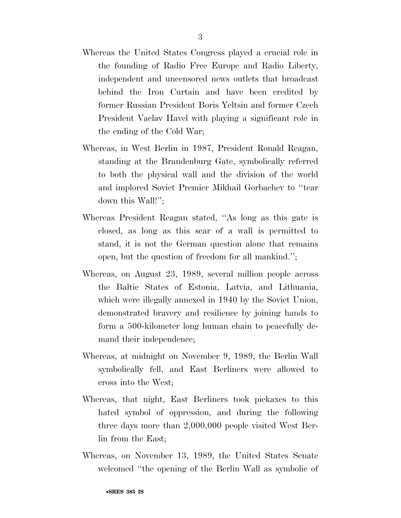- Whereas the United States Congress played a crucial role in the founding of Radio Free Europe and Radio Liberty, independent and uncensored news outlets that broadcast behind the Iron Curtain and have been credited by former Russian President Boris Yeltsin and former Czech President Vaclav Havel with playing a significant role in the ending of the Cold War;
- Whereas, in West Berlin in 1987, President Ronald Reagan, standing at the Brandenburg Gate, symbolically referred to both the physical wall and the division of the world and implored Soviet Premier Mikhail Gorbachev to ''tear down this Wall!'';
- Whereas President Reagan stated, ''As long as this gate is closed, as long as this scar of a wall is permitted to stand, it is not the German question alone that remains open, but the question of freedom for all mankind.'';
- Whereas, on August 23, 1989, several million people across the Baltic States of Estonia, Latvia, and Lithuania, which were illegally annexed in 1940 by the Soviet Union, demonstrated bravery and resilience by joining hands to form a 500-kilometer long human chain to peacefully demand their independence;
- Whereas, at midnight on November 9, 1989, the Berlin Wall symbolically fell, and East Berliners were allowed to cross into the West;
- Whereas, that night, East Berliners took pickaxes to this hated symbol of oppression, and during the following three days more than 2,000,000 people visited West Berlin from the East;
- Whereas, on November 13, 1989, the United States Senate welcomed ''the opening of the Berlin Wall as symbolic of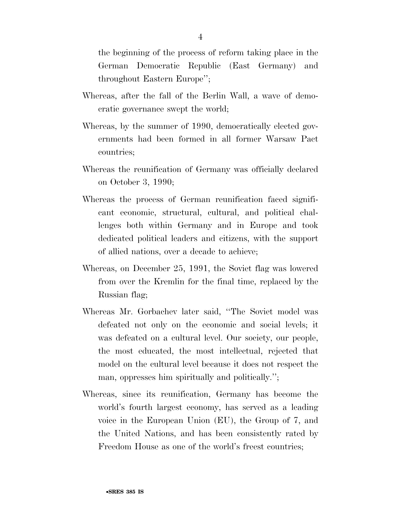the beginning of the process of reform taking place in the German Democratic Republic (East Germany) and throughout Eastern Europe'';

- Whereas, after the fall of the Berlin Wall, a wave of democratic governance swept the world;
- Whereas, by the summer of 1990, democratically elected governments had been formed in all former Warsaw Pact countries;
- Whereas the reunification of Germany was officially declared on October 3, 1990;
- Whereas the process of German reunification faced significant economic, structural, cultural, and political challenges both within Germany and in Europe and took dedicated political leaders and citizens, with the support of allied nations, over a decade to achieve;
- Whereas, on December 25, 1991, the Soviet flag was lowered from over the Kremlin for the final time, replaced by the Russian flag;
- Whereas Mr. Gorbachev later said, ''The Soviet model was defeated not only on the economic and social levels; it was defeated on a cultural level. Our society, our people, the most educated, the most intellectual, rejected that model on the cultural level because it does not respect the man, oppresses him spiritually and politically.'';
- Whereas, since its reunification, Germany has become the world's fourth largest economy, has served as a leading voice in the European Union (EU), the Group of 7, and the United Nations, and has been consistently rated by Freedom House as one of the world's freest countries;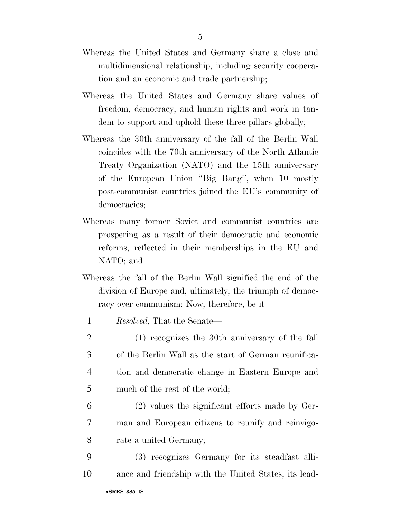- Whereas the United States and Germany share a close and multidimensional relationship, including security cooperation and an economic and trade partnership;
- Whereas the United States and Germany share values of freedom, democracy, and human rights and work in tandem to support and uphold these three pillars globally;
- Whereas the 30th anniversary of the fall of the Berlin Wall coincides with the 70th anniversary of the North Atlantic Treaty Organization (NATO) and the 15th anniversary of the European Union ''Big Bang'', when 10 mostly post-communist countries joined the EU's community of democracies;
- Whereas many former Soviet and communist countries are prospering as a result of their democratic and economic reforms, reflected in their memberships in the EU and NATO; and
- Whereas the fall of the Berlin Wall signified the end of the division of Europe and, ultimately, the triumph of democracy over communism: Now, therefore, be it
- 1 *Resolved,* That the Senate—
- 2 (1) recognizes the 30th anniversary of the fall 3 of the Berlin Wall as the start of German reunifica-4 tion and democratic change in Eastern Europe and 5 much of the rest of the world;
- 6 (2) values the significant efforts made by Ger-7 man and European citizens to reunify and reinvigo-8 rate a united Germany;
- 9 (3) recognizes Germany for its steadfast alli-10 ance and friendship with the United States, its lead-